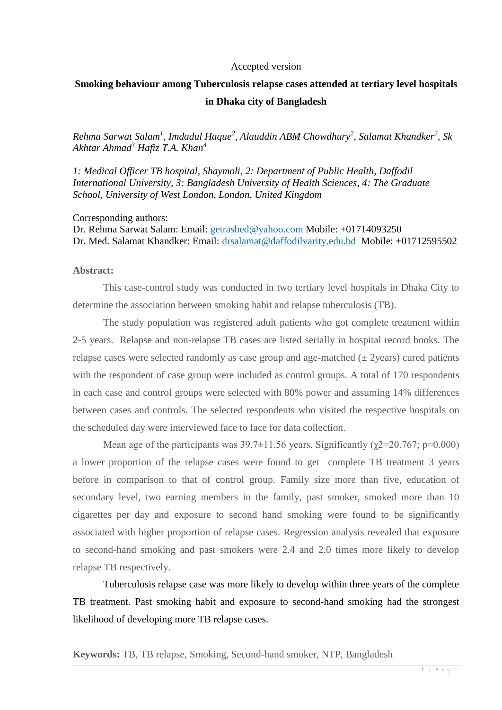#### Accepted version

## **Smoking behaviour among Tuberculosis relapse cases attended at tertiary level hospitals in Dhaka city of Bangladesh**

*Rehma Sarwat Salam<sup>1</sup> , Imdadul Haque<sup>2</sup> , Alauddin ABM Chowdhury<sup>2</sup> , Salamat Khandker<sup>2</sup> , Sk Akhtar Ahmad<sup>3</sup> Hafiz T.A. Khan<sup>4</sup>*

*1: Medical Officer TB hospital, Shaymoli, 2: Department of Public Health, Daffodil International University, 3: Bangladesh University of Health Sciences, 4: The Graduate School, University of West London, London, United Kingdom*

Corresponding authors:

Dr. Rehma Sarwat Salam: Email: [getrashed@yahoo.com](mailto:getrashed@yahoo.com) Mobile: +01714093250 Dr. Med. Salamat Khandker: Email: [drsalamat@daffodilvarity.edu.bd](mailto:drsalamat@daffodilvarity.edu.bd) Mobile: +01712595502

#### **Abstract:**

This case-control study was conducted in two tertiary level hospitals in Dhaka City to determine the association between smoking habit and relapse tuberculosis (TB).

The study population was registered adult patients who got complete treatment within 2-5 years. Relapse and non-relapse TB cases are listed serially in hospital record books. The relapse cases were selected randomly as case group and age-matched  $(\pm 2$ years) cured patients with the respondent of case group were included as control groups. A total of 170 respondents in each case and control groups were selected with 80% power and assuming 14% differences between cases and controls. The selected respondents who visited the respective hospitals on the scheduled day were interviewed face to face for data collection.

Mean age of the participants was  $39.7\pm11.56$  years. Significantly ( $\chi$ 2=20.767; p=0.000) a lower proportion of the relapse cases were found to get complete TB treatment 3 years before in comparison to that of control group. Family size more than five, education of secondary level, two earning members in the family, past smoker, smoked more than 10 cigarettes per day and exposure to second hand smoking were found to be significantly associated with higher proportion of relapse cases. Regression analysis revealed that exposure to second-hand smoking and past smokers were 2.4 and 2.0 times more likely to develop relapse TB respectively.

Tuberculosis relapse case was more likely to develop within three years of the complete TB treatment. Past smoking habit and exposure to second-hand smoking had the strongest likelihood of developing more TB relapse cases.

**Keywords:** TB, TB relapse, Smoking, Second-hand smoker, NTP, Bangladesh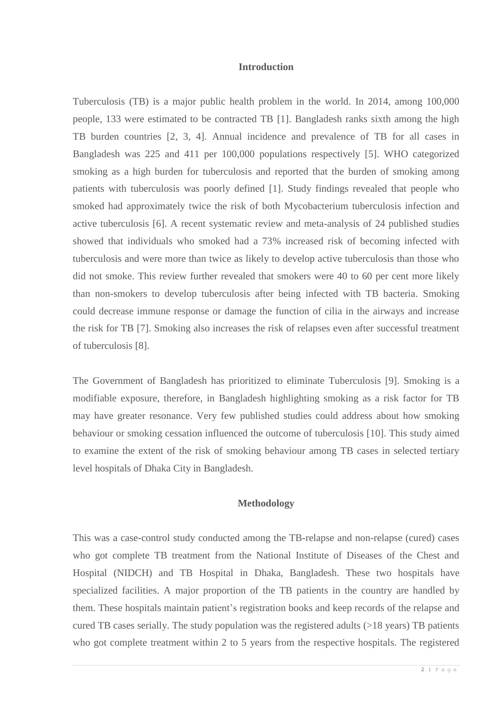#### **Introduction**

Tuberculosis (TB) is a major public health problem in the world. In 2014, among 100,000 people, 133 were estimated to be contracted TB [1]. Bangladesh ranks sixth among the high TB burden countries [2, 3, 4]. Annual incidence and prevalence of TB for all cases in Bangladesh was 225 and 411 per 100,000 populations respectively [5]. WHO categorized smoking as a high burden for tuberculosis and reported that the burden of smoking among patients with tuberculosis was poorly defined [1]. Study findings revealed that people who smoked had approximately twice the risk of both Mycobacterium tuberculosis infection and active tuberculosis [6]. A recent systematic review and meta-analysis of 24 published studies showed that individuals who smoked had a 73% increased risk of becoming infected with tuberculosis and were more than twice as likely to develop active tuberculosis than those who did not smoke. This review further revealed that smokers were 40 to 60 per cent more likely than non-smokers to develop tuberculosis after being infected with TB bacteria. Smoking could decrease immune response or damage the function of cilia in the airways and increase the risk for TB [7]. Smoking also increases the risk of relapses even after successful treatment of tuberculosis [8].

The Government of Bangladesh has prioritized to eliminate Tuberculosis [9]. Smoking is a modifiable exposure, therefore, in Bangladesh highlighting smoking as a risk factor for TB may have greater resonance. Very few published studies could address about how smoking behaviour or smoking cessation influenced the outcome of tuberculosis [10]. This study aimed to examine the extent of the risk of smoking behaviour among TB cases in selected tertiary level hospitals of Dhaka City in Bangladesh.

#### **Methodology**

This was a case-control study conducted among the TB-relapse and non-relapse (cured) cases who got complete TB treatment from the National Institute of Diseases of the Chest and Hospital (NIDCH) and TB Hospital in Dhaka, Bangladesh. These two hospitals have specialized facilities. A major proportion of the TB patients in the country are handled by them. These hospitals maintain patient's registration books and keep records of the relapse and cured TB cases serially. The study population was the registered adults (>18 years) TB patients who got complete treatment within 2 to 5 years from the respective hospitals. The registered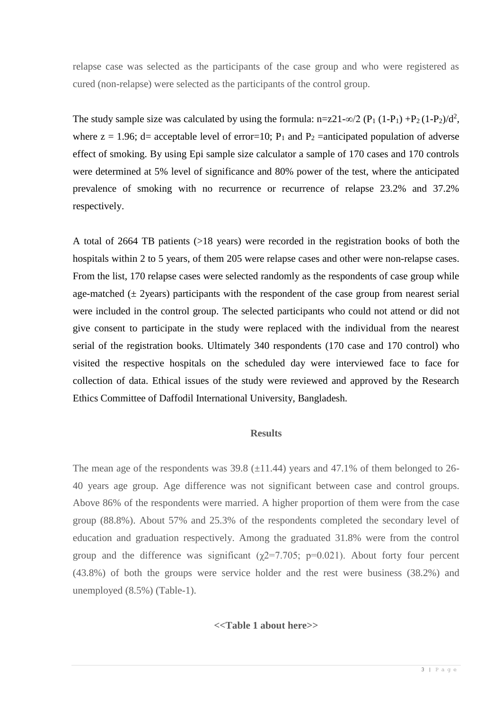relapse case was selected as the participants of the case group and who were registered as cured (non-relapse) were selected as the participants of the control group.

The study sample size was calculated by using the formula:  $n=z21-\infty/2$  (P<sub>1</sub> (1-P<sub>1</sub>) +P<sub>2</sub> (1-P<sub>2</sub>)/d<sup>2</sup>, where  $z = 1.96$ ; d= acceptable level of error=10;  $P_1$  and  $P_2$  =anticipated population of adverse effect of smoking. By using Epi sample size calculator a sample of 170 cases and 170 controls were determined at 5% level of significance and 80% power of the test, where the anticipated prevalence of smoking with no recurrence or recurrence of relapse 23.2% and 37.2% respectively.

A total of 2664 TB patients (>18 years) were recorded in the registration books of both the hospitals within 2 to 5 years, of them 205 were relapse cases and other were non-relapse cases. From the list, 170 relapse cases were selected randomly as the respondents of case group while age-matched  $(\pm 2)$ years) participants with the respondent of the case group from nearest serial were included in the control group. The selected participants who could not attend or did not give consent to participate in the study were replaced with the individual from the nearest serial of the registration books. Ultimately 340 respondents (170 case and 170 control) who visited the respective hospitals on the scheduled day were interviewed face to face for collection of data. Ethical issues of the study were reviewed and approved by the Research Ethics Committee of Daffodil International University, Bangladesh.

### **Results**

The mean age of the respondents was  $39.8 \ (\pm 11.44)$  years and  $47.1\%$  of them belonged to 26-40 years age group. Age difference was not significant between case and control groups. Above 86% of the respondents were married. A higher proportion of them were from the case group (88.8%). About 57% and 25.3% of the respondents completed the secondary level of education and graduation respectively. Among the graduated 31.8% were from the control group and the difference was significant ( $\chi$ 2=7.705; p=0.021). About forty four percent (43.8%) of both the groups were service holder and the rest were business (38.2%) and unemployed (8.5%) (Table-1).

## **<<Table 1 about here>>**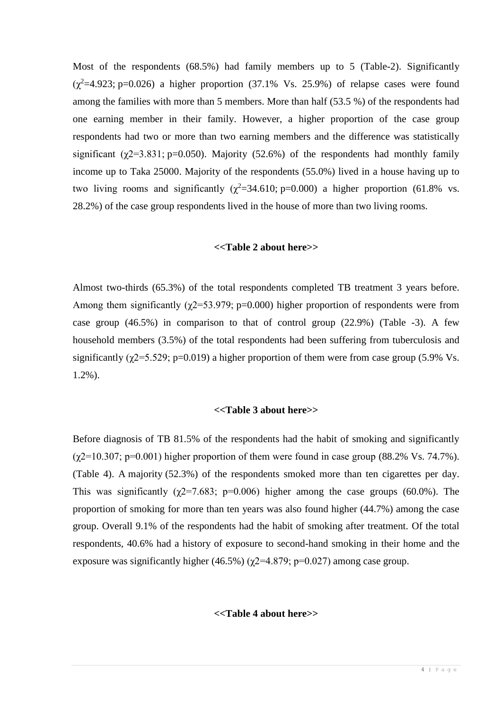Most of the respondents (68.5%) had family members up to 5 (Table-2). Significantly  $(\chi^2=4.923; \text{p}=0.026)$  a higher proportion (37.1% Vs. 25.9%) of relapse cases were found among the families with more than 5 members. More than half (53.5 %) of the respondents had one earning member in their family. However, a higher proportion of the case group respondents had two or more than two earning members and the difference was statistically significant ( $\gamma$ 2=3.831; p=0.050). Majority (52.6%) of the respondents had monthly family income up to Taka 25000. Majority of the respondents (55.0%) lived in a house having up to two living rooms and significantly ( $\chi^2$ =34.610; p=0.000) a higher proportion (61.8% vs. 28.2%) of the case group respondents lived in the house of more than two living rooms.

#### **<<Table 2 about here>>**

Almost two-thirds (65.3%) of the total respondents completed TB treatment 3 years before. Among them significantly ( $\chi$ 2=53.979; p=0.000) higher proportion of respondents were from case group (46.5%) in comparison to that of control group (22.9%) (Table -3). A few household members (3.5%) of the total respondents had been suffering from tuberculosis and significantly ( $\gamma$ 2=5.529; p=0.019) a higher proportion of them were from case group (5.9% Vs. 1.2%).

## **<<Table 3 about here>>**

Before diagnosis of TB 81.5% of the respondents had the habit of smoking and significantly  $(\gamma2=10.307; \text{p}=0.001)$  higher proportion of them were found in case group (88.2% Vs. 74.7%). (Table 4). A majority (52.3%) of the respondents smoked more than ten cigarettes per day. This was significantly ( $\chi$ 2=7.683; p=0.006) higher among the case groups (60.0%). The proportion of smoking for more than ten years was also found higher (44.7%) among the case group. Overall 9.1% of the respondents had the habit of smoking after treatment. Of the total respondents, 40.6% had a history of exposure to second-hand smoking in their home and the exposure was significantly higher (46.5%) ( $\chi$ 2=4.879; p=0.027) among case group.

### **<<Table 4 about here>>**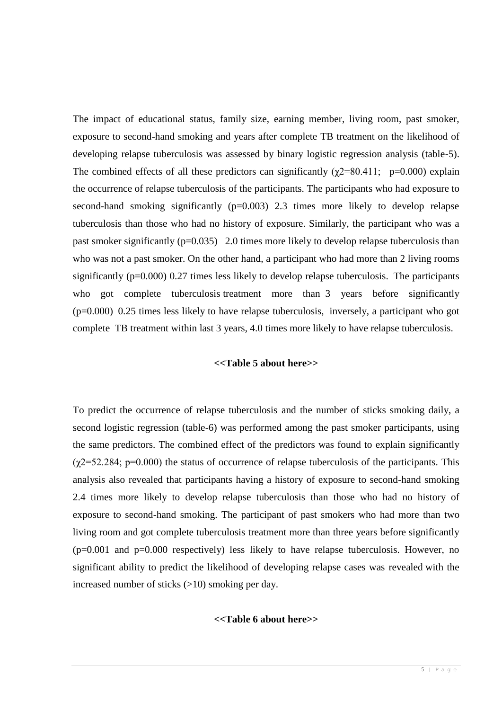The impact of educational status, family size, earning member, living room, past smoker, exposure to second-hand smoking and years after complete TB treatment on the likelihood of developing relapse tuberculosis was assessed by binary logistic regression analysis (table-5). The combined effects of all these predictors can significantly ( $\gamma$ 2=80.411; p=0.000) explain the occurrence of relapse tuberculosis of the participants. The participants who had exposure to second-hand smoking significantly  $(p=0.003)$  2.3 times more likely to develop relapse tuberculosis than those who had no history of exposure. Similarly, the participant who was a past smoker significantly (p=0.035) 2.0 times more likely to develop relapse tuberculosis than who was not a past smoker. On the other hand, a participant who had more than 2 living rooms significantly (p=0.000) 0.27 times less likely to develop relapse tuberculosis. The participants who got complete tuberculosis treatment more than 3 years before significantly (p=0.000) 0.25 times less likely to have relapse tuberculosis, inversely, a participant who got complete TB treatment within last 3 years, 4.0 times more likely to have relapse tuberculosis.

## **<<Table 5 about here>>**

To predict the occurrence of relapse tuberculosis and the number of sticks smoking daily, a second logistic regression (table-6) was performed among the past smoker participants, using the same predictors. The combined effect of the predictors was found to explain significantly  $(\chi$ 2=52.284; p=0.000) the status of occurrence of relapse tuberculosis of the participants. This analysis also revealed that participants having a history of exposure to second-hand smoking 2.4 times more likely to develop relapse tuberculosis than those who had no history of exposure to second-hand smoking. The participant of past smokers who had more than two living room and got complete tuberculosis treatment more than three years before significantly  $(p=0.001$  and  $p=0.000$  respectively) less likely to have relapse tuberculosis. However, no significant ability to predict the likelihood of developing relapse cases was revealed with the increased number of sticks (>10) smoking per day.

### **<<Table 6 about here>>**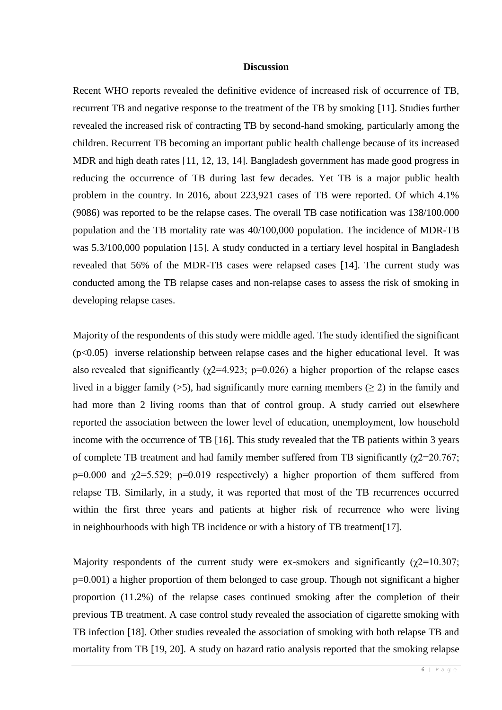#### **Discussion**

Recent WHO reports revealed the definitive evidence of increased risk of occurrence of TB, recurrent TB and negative response to the treatment of the TB by smoking [11]. Studies further revealed the increased risk of contracting TB by second-hand smoking, particularly among the children. Recurrent TB becoming an important public health challenge because of its increased MDR and high death rates [11, 12, 13, 14]. Bangladesh government has made good progress in reducing the occurrence of TB during last few decades. Yet TB is a major public health problem in the country. In 2016, about 223,921 cases of TB were reported. Of which 4.1% (9086) was reported to be the relapse cases. The overall TB case notification was 138/100.000 population and the TB mortality rate was 40/100,000 population. The incidence of MDR-TB was 5.3/100,000 population [15]. A study conducted in a tertiary level hospital in Bangladesh revealed that 56% of the MDR-TB cases were relapsed cases [14]. The current study was conducted among the TB relapse cases and non-relapse cases to assess the risk of smoking in developing relapse cases.

Majority of the respondents of this study were middle aged. The study identified the significant  $(p<0.05)$  inverse relationship between relapse cases and the higher educational level. It was also revealed that significantly ( $\chi$ 2=4.923; p=0.026) a higher proportion of the relapse cases lived in a bigger family (>5), had significantly more earning members ( $\geq$ 2) in the family and had more than 2 living rooms than that of control group. A study carried out elsewhere reported the association between the lower level of education, unemployment, low household income with the occurrence of TB [16]. This study revealed that the TB patients within 3 years of complete TB treatment and had family member suffered from TB significantly  $(\gamma2=20.767)$ ; p=0.000 and  $\gamma$ 2=5.529; p=0.019 respectively) a higher proportion of them suffered from relapse TB. Similarly, in a study, it was reported that most of the TB recurrences occurred within the first three years and patients at higher risk of recurrence who were living in neighbourhoods with high TB incidence or with a history of TB treatment[17].

Majority respondents of the current study were ex-smokers and significantly  $(\gamma2=10.307)$ ; p=0.001) a higher proportion of them belonged to case group. Though not significant a higher proportion (11.2%) of the relapse cases continued smoking after the completion of their previous TB treatment. A case control study revealed the association of cigarette smoking with TB infection [18]. Other studies revealed the association of smoking with both relapse TB and mortality from TB [19, 20]. A study on hazard ratio analysis reported that the smoking relapse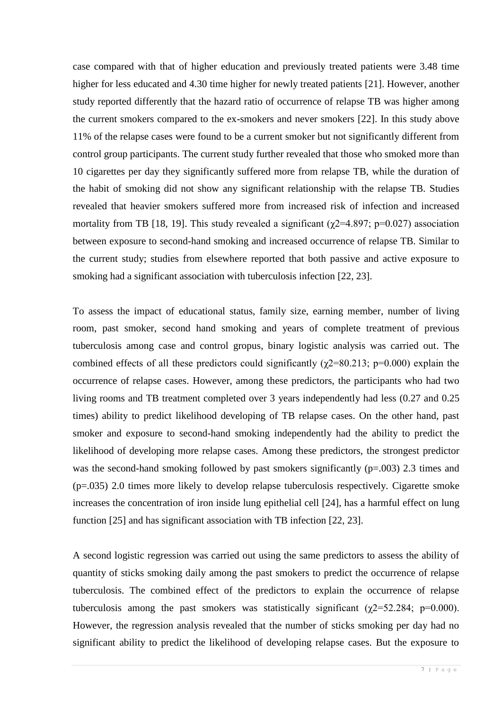case compared with that of higher education and previously treated patients were 3.48 time higher for less educated and 4.30 time higher for newly treated patients [21]. However, another study reported differently that the hazard ratio of occurrence of relapse TB was higher among the current smokers compared to the ex-smokers and never smokers [22]. In this study above 11% of the relapse cases were found to be a current smoker but not significantly different from control group participants. The current study further revealed that those who smoked more than 10 cigarettes per day they significantly suffered more from relapse TB, while the duration of the habit of smoking did not show any significant relationship with the relapse TB. Studies revealed that heavier smokers suffered more from increased risk of infection and increased mortality from TB [18, 19]. This study revealed a significant ( $\chi$ 2=4.897; p=0.027) association between exposure to second-hand smoking and increased occurrence of relapse TB. Similar to the current study; studies from elsewhere reported that both passive and active exposure to smoking had a significant association with tuberculosis infection [22, 23].

To assess the impact of educational status, family size, earning member, number of living room, past smoker, second hand smoking and years of complete treatment of previous tuberculosis among case and control gropus, binary logistic analysis was carried out. The combined effects of all these predictors could significantly ( $\chi$ 2=80.213; p=0.000) explain the occurrence of relapse cases. However, among these predictors, the participants who had two living rooms and TB treatment completed over 3 years independently had less (0.27 and 0.25 times) ability to predict likelihood developing of TB relapse cases. On the other hand, past smoker and exposure to second-hand smoking independently had the ability to predict the likelihood of developing more relapse cases. Among these predictors, the strongest predictor was the second-hand smoking followed by past smokers significantly (p=.003) 2.3 times and (p=.035) 2.0 times more likely to develop relapse tuberculosis respectively. Cigarette smoke increases the concentration of iron inside lung epithelial cell [24], has a harmful effect on lung function [25] and has significant association with TB infection [22, 23].

A second logistic regression was carried out using the same predictors to assess the ability of quantity of sticks smoking daily among the past smokers to predict the occurrence of relapse tuberculosis. The combined effect of the predictors to explain the occurrence of relapse tuberculosis among the past smokers was statistically significant  $(\chi$ 2=52.284; p=0.000). However, the regression analysis revealed that the number of sticks smoking per day had no significant ability to predict the likelihood of developing relapse cases. But the exposure to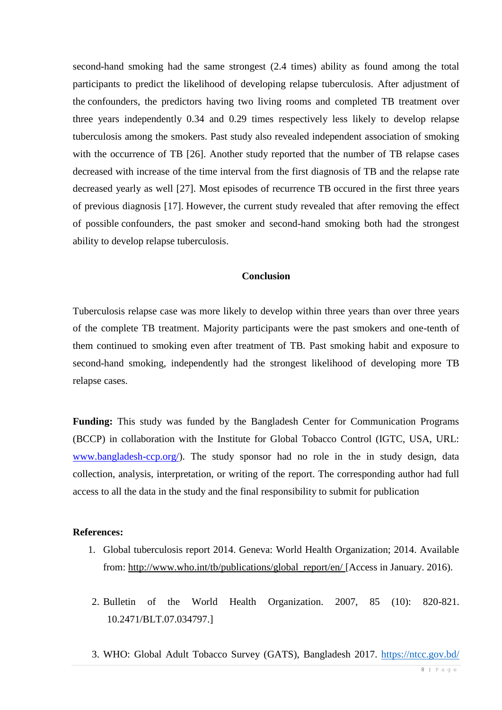second-hand smoking had the same strongest (2.4 times) ability as found among the total participants to predict the likelihood of developing relapse tuberculosis. After adjustment of the confounders, the predictors having two living rooms and completed TB treatment over three years independently 0.34 and 0.29 times respectively less likely to develop relapse tuberculosis among the smokers. Past study also revealed independent association of smoking with the occurrence of TB [26]. Another study reported that the number of TB relapse cases decreased with increase of the time interval from the first diagnosis of TB and the relapse rate decreased yearly as well [27]. Most episodes of recurrence TB occured in the first three years of previous diagnosis [17]. However, the current study revealed that after removing the effect of possible confounders, the past smoker and second-hand smoking both had the strongest ability to develop relapse tuberculosis.

## **Conclusion**

Tuberculosis relapse case was more likely to develop within three years than over three years of the complete TB treatment. Majority participants were the past smokers and one-tenth of them continued to smoking even after treatment of TB. Past smoking habit and exposure to second-hand smoking, independently had the strongest likelihood of developing more TB relapse cases.

**Funding:** This study was funded by the Bangladesh Center for Communication Programs (BCCP) in collaboration with the Institute for Global Tobacco Control (IGTC, USA, URL: [www.bangladesh-ccp.org/\)](http://www.bangladesh-ccp.org/). The study sponsor had no role in the in study design, data collection, analysis, interpretation, or writing of the report. The corresponding author had full access to all the data in the study and the final responsibility to submit for publication

#### **References:**

- 1. Global tuberculosis report 2014. Geneva: World Health Organization; 2014. Available from: [http://www.who.int/tb/publications/global\\_report/en/](http://www.who.int/tb/publications/global_report/en/) [Access in January. 2016).
- 2. Bulletin of the World Health Organization. 2007, 85 (10): 820-821. 10.2471/BLT.07.034797.]
- 3. WHO: [Global Adult Tobacco Survey](http://www.searo.who.int/tobacco/data/ban_gyts_report_2013.pdf?ua=1&ua=1) (GATS), Bangladesh 2017.<https://ntcc.gov.bd/>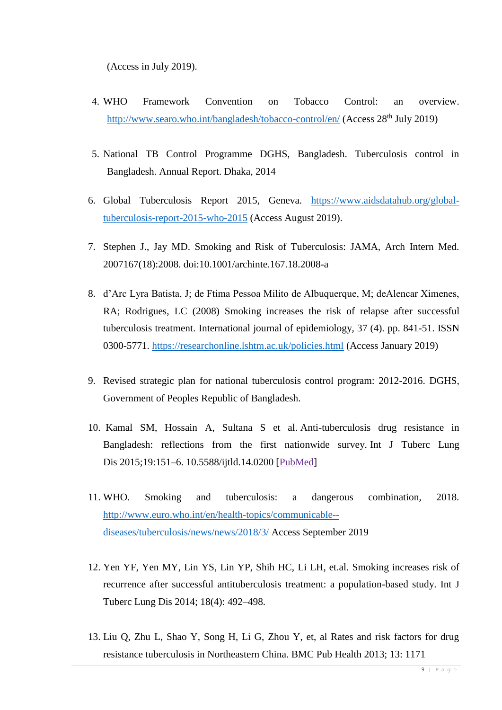(Access in July 2019).

- 4. [WHO Framework Convention on Tobacco Control: an overview.](http://www.who.int/fctc/WHO_FCTC_summary_January2015_EN.pdf?ua=1) <http://www.searo.who.int/bangladesh/tobacco-control/en/> (Access 28<sup>th</sup> July 2019)
- 5. National TB Control Programme DGHS, Bangladesh. Tuberculosis control in Bangladesh. Annual Report. Dhaka, 2014
- 6. Global Tuberculosis Report 2015, Geneva. [https://www.aidsdatahub.org/global](https://www.aidsdatahub.org/global-tuberculosis-report-2015-who-2015)[tuberculosis-report-2015-who-2015](https://www.aidsdatahub.org/global-tuberculosis-report-2015-who-2015) (Access August 2019).
- 7. Stephen J., Jay MD. Smoking and Risk of Tuberculosis: JAMA, Arch Intern Med. 2007167(18):2008. doi:10.1001/archinte.167.18.2008-a
- 8. d'Arc Lyra Batista, J; de Ftima Pessoa Milito de Albuquerque, M; deAlencar Ximenes, RA; Rodrigues, LC (2008) Smoking increases the risk of relapse after successful tuberculosis treatment. International journal of epidemiology, 37 (4). pp. 841-51. ISSN 0300-5771.<https://researchonline.lshtm.ac.uk/policies.html> (Access January 2019)
- 9. Revised strategic plan for national tuberculosis control program: 2012-2016. DGHS, Government of Peoples Republic of Bangladesh.
- 10. Kamal SM, Hossain A, Sultana S et al. Anti-tuberculosis drug resistance in Bangladesh: reflections from the first nationwide survey. Int J Tuberc Lung Dis 2015;19:151–6. 10.5588/ijtld.14.0200 [\[PubMed\]](https://www.ncbi.nlm.nih.gov/pubmed/25574912)
- 11. WHO. Smoking and tuberculosis: a dangerous combination, 2018. [http://www.euro.who.int/en/health-topics/communicable-](http://www.euro.who.int/en/health-topics/communicable--diseases/tuberculosis/news/news/2018/3/) [diseases/tuberculosis/news/news/2018/3/](http://www.euro.who.int/en/health-topics/communicable--diseases/tuberculosis/news/news/2018/3/) Access September 2019
- 12. Yen YF, Yen MY, Lin YS, Lin YP, Shih HC, Li LH, et.al. Smoking increases risk of recurrence after successful antituberculosis treatment: a population-based study. Int J Tuberc Lung Dis 2014; 18(4): 492–498.
- 13. Liu Q, Zhu L, Shao Y, Song H, Li G, Zhou Y, et, al Rates and risk factors for drug resistance tuberculosis in Northeastern China. BMC Pub Health 2013; 13: 1171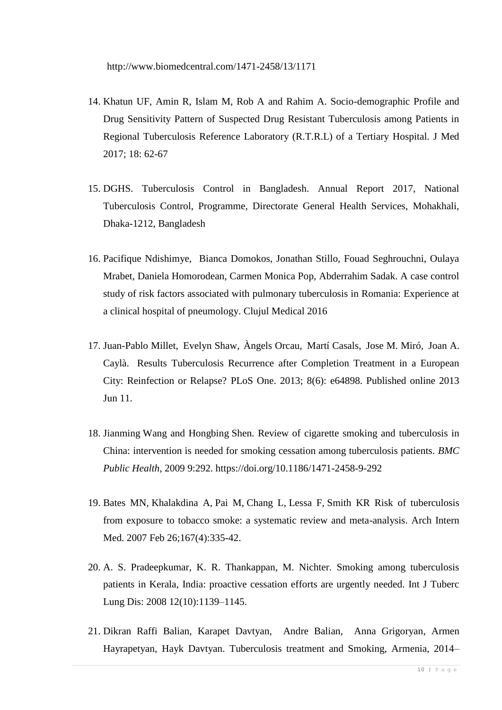- 14. Khatun UF, Amin R, Islam M, Rob A and Rahim A. Socio-demographic Profile and Drug Sensitivity Pattern of Suspected Drug Resistant Tuberculosis among Patients in Regional Tuberculosis Reference Laboratory (R.T.R.L) of a Tertiary Hospital. J Med 2017; 18: 62-67
- 15. DGHS. Tuberculosis Control in Bangladesh. Annual Report 2017, National Tuberculosis Control, Programme, Directorate General Health Services, Mohakhali, Dhaka-1212, Bangladesh
- 16. Pacifique Ndishimye, Bianca Domokos, Jonathan Stillo, Fouad Seghrouchni, Oulaya Mrabet, Daniela Homorodean, Carmen Monica Pop, Abderrahim Sadak. A case control study of risk factors associated with pulmonary tuberculosis in Romania: Experience at a clinical hospital of pneumology. Clujul Medical 2016
- 17. [Juan-Pablo Millet,](https://www.ncbi.nlm.nih.gov/pubmed/?term=Millet%20JP%5BAuthor%5D&cauthor=true&cauthor_uid=23776440) [Evelyn Shaw,](https://www.ncbi.nlm.nih.gov/pubmed/?term=Shaw%20E%5BAuthor%5D&cauthor=true&cauthor_uid=23776440) [Àngels Orcau,](https://www.ncbi.nlm.nih.gov/pubmed/?term=Orcau%20%26%23x000c0%3B%5BAuthor%5D&cauthor=true&cauthor_uid=23776440) [Martí Casals,](https://www.ncbi.nlm.nih.gov/pubmed/?term=Casals%20M%5BAuthor%5D&cauthor=true&cauthor_uid=23776440) [Jose M. Miró,](https://www.ncbi.nlm.nih.gov/pubmed/?term=Mir%26%23x000f3%3B%20JM%5BAuthor%5D&cauthor=true&cauthor_uid=23776440) [Joan A.](https://www.ncbi.nlm.nih.gov/pubmed/?term=Cayl%26%23x000e0%3B%20JA%5BAuthor%5D&cauthor=true&cauthor_uid=23776440)  [Caylà.](https://www.ncbi.nlm.nih.gov/pubmed/?term=Cayl%26%23x000e0%3B%20JA%5BAuthor%5D&cauthor=true&cauthor_uid=23776440) Results Tuberculosis Recurrence after Completion Treatment in a European City: Reinfection or Relapse? [PLoS One.](https://www.ncbi.nlm.nih.gov/pmc/articles/PMC3679149/) 2013; 8(6): e64898. Published online 2013 Jun 11.
- 18. Jianming Wang and Hongbing Shen. Review of cigarette smoking and tuberculosis in China: intervention is needed for smoking cessation among tuberculosis patients. *BMC Public Health,* 2009 9:292.<https://doi.org/10.1186/1471-2458-9-292>
- 19. [Bates MN,](https://www.ncbi.nlm.nih.gov/pubmed/?term=Bates%20MN%5BAuthor%5D&cauthor=true&cauthor_uid=17325294) [Khalakdina A,](https://www.ncbi.nlm.nih.gov/pubmed/?term=Khalakdina%20A%5BAuthor%5D&cauthor=true&cauthor_uid=17325294) [Pai M,](https://www.ncbi.nlm.nih.gov/pubmed/?term=Pai%20M%5BAuthor%5D&cauthor=true&cauthor_uid=17325294) [Chang L,](https://www.ncbi.nlm.nih.gov/pubmed/?term=Chang%20L%5BAuthor%5D&cauthor=true&cauthor_uid=17325294) [Lessa F,](https://www.ncbi.nlm.nih.gov/pubmed/?term=Lessa%20F%5BAuthor%5D&cauthor=true&cauthor_uid=17325294) [Smith KR](https://www.ncbi.nlm.nih.gov/pubmed/?term=Smith%20KR%5BAuthor%5D&cauthor=true&cauthor_uid=17325294) Risk of tuberculosis from exposure to tobacco smoke: a systematic review and meta-analysis. [Arch Intern](https://www.ncbi.nlm.nih.gov/pubmed/17325294)  [Med.](https://www.ncbi.nlm.nih.gov/pubmed/17325294) 2007 Feb 26;167(4):335-42.
- 20. A. S. Pradeepkumar, K. R. Thankappan, M. Nichter. Smoking among tuberculosis patients in Kerala, India: proactive cessation efforts are urgently needed. Int J Tuberc Lung Dis: 2008 12(10):1139–1145.
- 21. Dikran Raffi Balian, [Karapet Davtyan, Andre Balian,](https://www.sciencedirect.com/science/article/pii/S2405579416300316#!) [Anna Grigoryan,](https://www.sciencedirect.com/science/article/pii/S2405579416300316#!) [Armen](https://www.sciencedirect.com/science/article/pii/S2405579416300316#!)  [Hayrapetyan,](https://www.sciencedirect.com/science/article/pii/S2405579416300316#!) [Hayk Davtyan.](https://www.sciencedirect.com/science/article/pii/S2405579416300316#!) Tuberculosis treatment and Smoking, Armenia, 2014–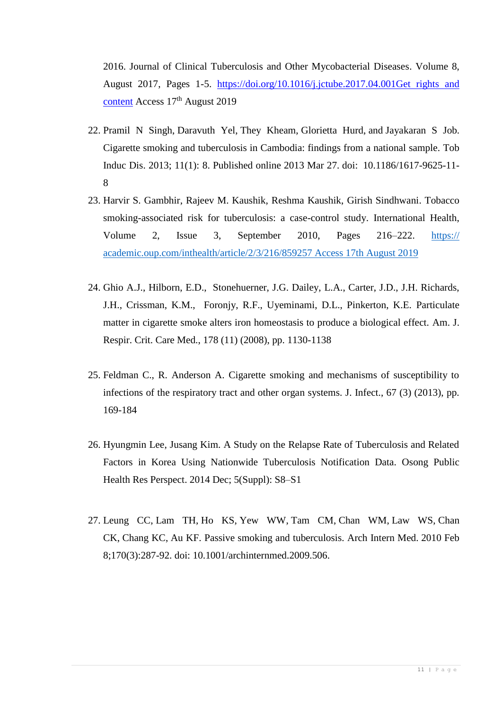2016. [Journal of Clinical Tuberculosis and Other Mycobacterial Diseases.](https://www.sciencedirect.com/science/journal/24055794) [Volume 8,](https://www.sciencedirect.com/science/journal/24055794/8/supp/C) August 2017, Pages 1-5. <https://doi.org/10.1016/j.jctube.2017.04.001>[Get rights and](https://s100.copyright.com/AppDispatchServlet?publisherName=ELS&contentID=S2405579416300316&orderBeanReset=true)  [content](https://s100.copyright.com/AppDispatchServlet?publisherName=ELS&contentID=S2405579416300316&orderBeanReset=true) Access 17<sup>th</sup> August 2019

- 22. [Pramil N Singh,](https://www.ncbi.nlm.nih.gov/pubmed/?term=Singh%20PN%5BAuthor%5D&cauthor=true&cauthor_uid=23537342) [Daravuth Yel,](https://www.ncbi.nlm.nih.gov/pubmed/?term=Yel%20D%5BAuthor%5D&cauthor=true&cauthor_uid=23537342) [They Kheam,](https://www.ncbi.nlm.nih.gov/pubmed/?term=Kheam%20T%5BAuthor%5D&cauthor=true&cauthor_uid=23537342) [Glorietta Hurd,](https://www.ncbi.nlm.nih.gov/pubmed/?term=Hurd%20G%5BAuthor%5D&cauthor=true&cauthor_uid=23537342) and [Jayakaran S Job.](https://www.ncbi.nlm.nih.gov/pubmed/?term=Job%20JS%5BAuthor%5D&cauthor=true&cauthor_uid=23537342) Cigarette smoking and tuberculosis in Cambodia: findings from a national sample. [Tob](https://www.ncbi.nlm.nih.gov/pmc/articles/PMC3614888/)  [Induc Dis.](https://www.ncbi.nlm.nih.gov/pmc/articles/PMC3614888/) 2013; 11(1): 8. Published online 2013 Mar 27. doi: [10.1186/1617-9625-11-](https://dx.doi.org/10.1186%2F1617-9625-11-8) [8](https://dx.doi.org/10.1186%2F1617-9625-11-8)
- 23. [Harvir S. Gambhir, Rajeev M. Kaushik, Reshma Kaushik, Girish Sindhwani.](javascript:;) Tobacco smoking-associated risk for tuberculosis: a case-control study. International Health, Volume 2, Issue 3, September 2010, Pages 216–222. https:// academic.oup.com/inthealth/article/2/3/216/859257 Access 17th August 2019
- 24. Ghio A.J., Hilborn, E.D., Stonehuerner, J.G. Dailey, L.A., Carter, J.D., J.H. Richards, J.H., Crissman, K.M., Foronjy, R.F., Uyeminami, D.L., Pinkerton, K.E. Particulate matter in cigarette smoke alters iron homeostasis to produce a biological effect. Am. J. Respir. Crit. Care Med., 178 (11) (2008), pp. 1130-1138
- 25. Feldman C., R. Anderson A. Cigarette smoking and mechanisms of susceptibility to infections of the respiratory tract and other organ systems. J. Infect., 67 (3) (2013), pp. 169-184
- 26. [Hyungmin Lee,](https://www.ncbi.nlm.nih.gov/pubmed/?term=Lee%20H%5BAuthor%5D&cauthor=true&cauthor_uid=25861581) [Jusang Kim.](https://www.ncbi.nlm.nih.gov/pubmed/?term=Kim%20J%5BAuthor%5D&cauthor=true&cauthor_uid=25861581) A Study on the Relapse Rate of Tuberculosis and Related Factors in Korea Using Nationwide Tuberculosis Notification Data. [Osong Public](https://www.ncbi.nlm.nih.gov/pmc/articles/PMC4301639/)  [Health Res Perspect.](https://www.ncbi.nlm.nih.gov/pmc/articles/PMC4301639/) 2014 Dec; 5(Suppl): S8–S1
- 27. [Leung CC,](https://www.ncbi.nlm.nih.gov/pubmed/?term=Leung%20CC%5BAuthor%5D&cauthor=true&cauthor_uid=20142576) [Lam TH,](https://www.ncbi.nlm.nih.gov/pubmed/?term=Lam%20TH%5BAuthor%5D&cauthor=true&cauthor_uid=20142576) [Ho KS,](https://www.ncbi.nlm.nih.gov/pubmed/?term=Ho%20KS%5BAuthor%5D&cauthor=true&cauthor_uid=20142576) [Yew WW,](https://www.ncbi.nlm.nih.gov/pubmed/?term=Yew%20WW%5BAuthor%5D&cauthor=true&cauthor_uid=20142576) [Tam CM,](https://www.ncbi.nlm.nih.gov/pubmed/?term=Tam%20CM%5BAuthor%5D&cauthor=true&cauthor_uid=20142576) [Chan WM,](https://www.ncbi.nlm.nih.gov/pubmed/?term=Chan%20WM%5BAuthor%5D&cauthor=true&cauthor_uid=20142576) [Law WS,](https://www.ncbi.nlm.nih.gov/pubmed/?term=Law%20WS%5BAuthor%5D&cauthor=true&cauthor_uid=20142576) [Chan](https://www.ncbi.nlm.nih.gov/pubmed/?term=Chan%20CK%5BAuthor%5D&cauthor=true&cauthor_uid=20142576)  [CK,](https://www.ncbi.nlm.nih.gov/pubmed/?term=Chan%20CK%5BAuthor%5D&cauthor=true&cauthor_uid=20142576) [Chang KC,](https://www.ncbi.nlm.nih.gov/pubmed/?term=Chang%20KC%5BAuthor%5D&cauthor=true&cauthor_uid=20142576) [Au KF.](https://www.ncbi.nlm.nih.gov/pubmed/?term=Au%20KF%5BAuthor%5D&cauthor=true&cauthor_uid=20142576) Passive smoking and tuberculosis. [Arch Intern Med.](https://www.ncbi.nlm.nih.gov/pubmed/20142576) 2010 Feb 8;170(3):287-92. doi: 10.1001/archinternmed.2009.506.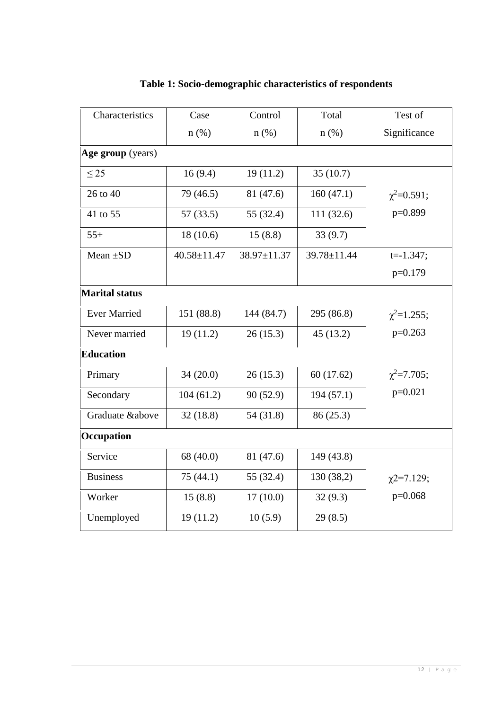| Characteristics       | Case              | Control     | Total       | Test of            |  |  |  |
|-----------------------|-------------------|-------------|-------------|--------------------|--|--|--|
|                       | $n$ (%)           | $n$ (%)     | $n$ (%)     | Significance       |  |  |  |
| Age group (years)     |                   |             |             |                    |  |  |  |
| $\leq$ 25             | 16(9.4)           | 19(11.2)    | 35(10.7)    |                    |  |  |  |
| 26 to 40              | 79 (46.5)         | 81 (47.6)   | 160(47.1)   | $\chi^2 = 0.591;$  |  |  |  |
| 41 to 55              | 57(33.5)          | 55 (32.4)   | 111 (32.6)  | p=0.899            |  |  |  |
| $55+$                 | 18(10.6)          | 15(8.8)     | 33(9.7)     |                    |  |  |  |
| Mean $\pm SD$         | $40.58 \pm 11.47$ | 38.97±11.37 | 39.78±11.44 | $t = -1.347$ ;     |  |  |  |
|                       |                   |             |             | $p=0.179$          |  |  |  |
| <b>Marital status</b> |                   |             |             |                    |  |  |  |
| <b>Ever Married</b>   | 151 (88.8)        | 144 (84.7)  | 295 (86.8)  | $\chi^2 = 1.255$ ; |  |  |  |
| Never married         | 19(11.2)          | 26(15.3)    | 45(13.2)    | $p=0.263$          |  |  |  |
| <b>Education</b>      |                   |             |             |                    |  |  |  |
| Primary               | 34(20.0)          | 26(15.3)    | 60(17.62)   | $\chi^2$ =7.705;   |  |  |  |
| Secondary             | 104(61.2)         | 90 (52.9)   | 194(57.1)   | $p=0.021$          |  |  |  |
| Graduate &above       | 32(18.8)          | 54 (31.8)   | 86 (25.3)   |                    |  |  |  |
| Occupation            |                   |             |             |                    |  |  |  |
| Service               | 68 (40.0)         | 81 (47.6)   | 149 (43.8)  |                    |  |  |  |
| <b>Business</b>       | 75 (44.1)         | 55 (32.4)   | 130 (38,2)  | $\chi$ 2=7.129;    |  |  |  |
| Worker                | 15(8.8)           | 17(10.0)    | 32(9.3)     | $p=0.068$          |  |  |  |
| Unemployed            | 19(11.2)          | 10(5.9)     | 29(8.5)     |                    |  |  |  |

## **Table 1: Socio-demographic characteristics of respondents**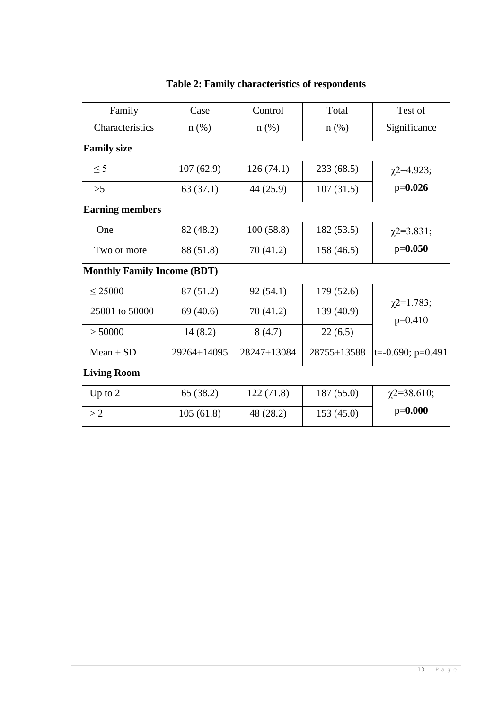| Family                             | Case        | Control     | Total       | Test of                      |  |  |  |  |
|------------------------------------|-------------|-------------|-------------|------------------------------|--|--|--|--|
| Characteristics                    | $n(\%)$     | $n$ (%)     | $n$ (%)     | Significance                 |  |  |  |  |
| <b>Family size</b>                 |             |             |             |                              |  |  |  |  |
| $\leq$ 5                           | 107(62.9)   | 126(74.1)   | 233(68.5)   | $\chi$ 2=4.923;              |  |  |  |  |
| >5                                 | 63(37.1)    | 44 (25.9)   | 107(31.5)   | $p=0.026$                    |  |  |  |  |
| <b>Earning members</b>             |             |             |             |                              |  |  |  |  |
| One                                | 82 (48.2)   | 100(58.8)   | 182 (53.5)  | $\chi$ 2=3.831;              |  |  |  |  |
| Two or more                        | 88 (51.8)   | 70(41.2)    | 158 (46.5)  | $p=0.050$                    |  |  |  |  |
| <b>Monthly Family Income (BDT)</b> |             |             |             |                              |  |  |  |  |
| < 25000                            | 87 (51.2)   | 92(54.1)    | 179 (52.6)  |                              |  |  |  |  |
| 25001 to 50000                     | 69(40.6)    | 70(41.2)    | 139 (40.9)  | $\chi$ 2=1.783;<br>$p=0.410$ |  |  |  |  |
| > 50000                            | 14(8.2)     | 8(4.7)      | 22(6.5)     |                              |  |  |  |  |
| $Mean \pm SD$                      | 29264±14095 | 28247±13084 | 28755±13588 | $ t=0.690; p=0.491$          |  |  |  |  |
| <b>Living Room</b>                 |             |             |             |                              |  |  |  |  |
| Up to $2$                          | 65 (38.2)   | 122(71.8)   | 187(55.0)   | $\chi$ 2=38.610;             |  |  |  |  |
| >2                                 | 105(61.8)   | 48 (28.2)   | 153(45.0)   | $p=0.000$                    |  |  |  |  |

## **Table 2: Family characteristics of respondents**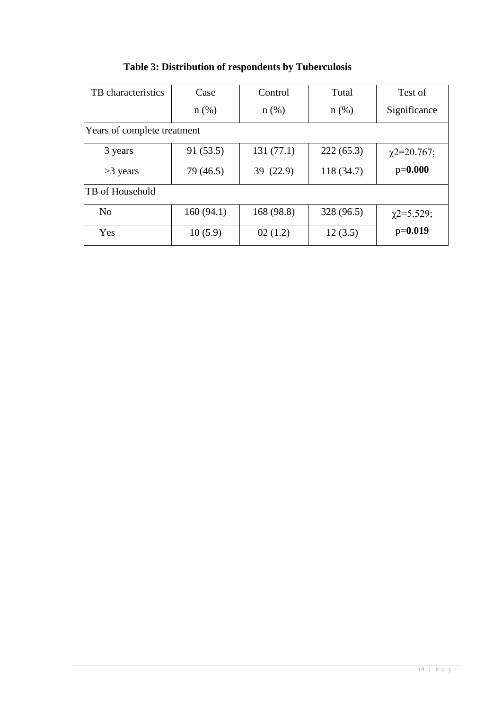| TB characteristics          | Case      | Control    | Total      | Test of          |  |
|-----------------------------|-----------|------------|------------|------------------|--|
|                             | $n(\%)$   | $n(\%)$    | $n$ (%)    | Significance     |  |
| Years of complete treatment |           |            |            |                  |  |
| 3 years                     | 91(53.5)  | 131(77.1)  | 222(65.3)  | $\chi$ 2=20.767; |  |
| $>3$ years                  | 79 (46.5) | 39 (22.9)  | 118(34.7)  | $p=0.000$        |  |
| TB of Household             |           |            |            |                  |  |
| N <sub>0</sub>              | 160(94.1) | 168 (98.8) | 328 (96.5) | $\chi$ 2=5.529;  |  |
| Yes                         | 10(5.9)   | 02(1.2)    | 12(3.5)    | $p=0.019$        |  |

## **Table 3: Distribution of respondents by Tuberculosis**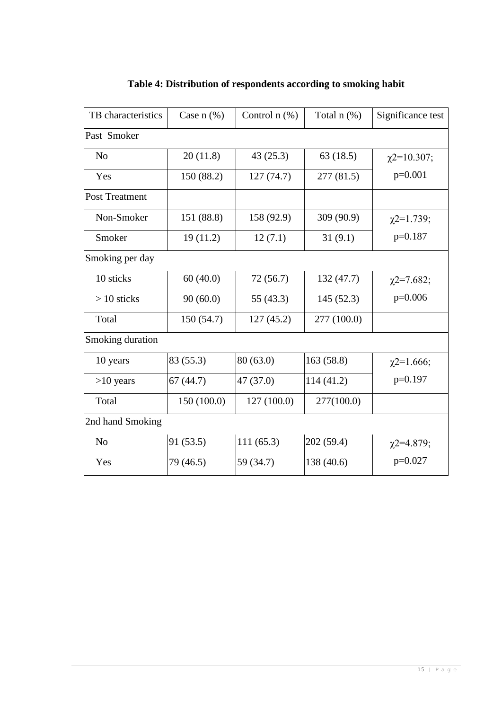| TB characteristics | Case $n$ $(\%)$ | Control $n$ $(\%)$ | Total n (%) |                  |  |  |  |  |
|--------------------|-----------------|--------------------|-------------|------------------|--|--|--|--|
| Past Smoker        |                 |                    |             |                  |  |  |  |  |
| N <sub>o</sub>     | 20(11.8)        | 43(25.3)           | 63(18.5)    | $\chi$ 2=10.307; |  |  |  |  |
| Yes                | 150 (88.2)      | 127(74.7)          | 277(81.5)   | $p=0.001$        |  |  |  |  |
| Post Treatment     |                 |                    |             |                  |  |  |  |  |
| Non-Smoker         | 151 (88.8)      | 158 (92.9)         | 309 (90.9)  | $\chi$ 2=1.739;  |  |  |  |  |
| Smoker             | 19(11.2)        | 12(7.1)            | 31(9.1)     | $p=0.187$        |  |  |  |  |
| Smoking per day    |                 |                    |             |                  |  |  |  |  |
| 10 sticks          | 60(40.0)        | 72(56.7)           | 132 (47.7)  | $\chi$ 2=7.682;  |  |  |  |  |
| $> 10$ sticks      | 90(60.0)        | 55 (43.3)          | 145(52.3)   | $p=0.006$        |  |  |  |  |
| Total              | 150(54.7)       | 127(45.2)          | 277 (100.0) |                  |  |  |  |  |
| Smoking duration   |                 |                    |             |                  |  |  |  |  |
| 10 years           | 83 (55.3)       | 80 (63.0)          | 163 (58.8)  | $\chi$ 2=1.666;  |  |  |  |  |
| $>10$ years        | 67(44.7)        | 47 (37.0)          | 114(41.2)   | $p=0.197$        |  |  |  |  |
| Total              | 150 (100.0)     | 127(100.0)         | 277(100.0)  |                  |  |  |  |  |
| 2nd hand Smoking   |                 |                    |             |                  |  |  |  |  |
| N <sub>o</sub>     | 91 (53.5)       | 111(65.3)          | 202 (59.4)  | $\chi$ 2=4.879;  |  |  |  |  |
| Yes                | 79 (46.5)       | 59 (34.7)          | 138 (40.6)  | $p=0.027$        |  |  |  |  |

# **Table 4: Distribution of respondents according to smoking habit**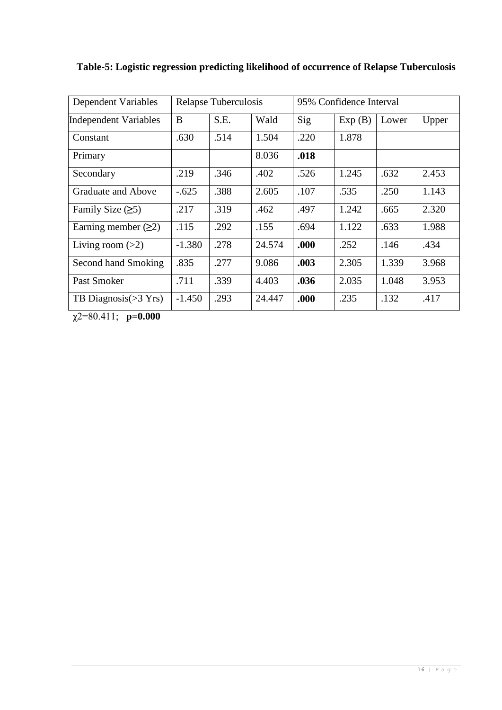| Dependent Variables          | Relapse Tuberculosis |      |        | 95% Confidence Interval |        |       |       |
|------------------------------|----------------------|------|--------|-------------------------|--------|-------|-------|
| <b>Independent Variables</b> | B                    | S.E. | Wald   | Sig                     | Exp(B) | Lower | Upper |
| Constant                     | .630                 | .514 | 1.504  | .220                    | 1.878  |       |       |
| Primary                      |                      |      | 8.036  | .018                    |        |       |       |
| Secondary                    | .219                 | .346 | .402   | .526                    | 1.245  | .632  | 2.453 |
| Graduate and Above           | $-.625$              | .388 | 2.605  | .107                    | .535   | .250  | 1.143 |
| Family Size $(25)$           | .217                 | .319 | .462   | .497                    | 1.242  | .665  | 2.320 |
| Earning member $(\geq 2)$    | .115                 | .292 | .155   | .694                    | 1.122  | .633  | 1.988 |
| Living room $(>2)$           | $-1.380$             | .278 | 24.574 | .000                    | .252   | .146  | .434  |
| Second hand Smoking          | .835                 | .277 | 9.086  | .003                    | 2.305  | 1.339 | 3.968 |
| Past Smoker                  | .711                 | .339 | 4.403  | .036                    | 2.035  | 1.048 | 3.953 |
| TB Diagnosis $(>3$ Yrs)      | $-1.450$             | .293 | 24.447 | .000                    | .235   | .132  | .417  |

**Table-5: Logistic regression predicting likelihood of occurrence of Relapse Tuberculosis**

χ2=80.411; **p=0.000**